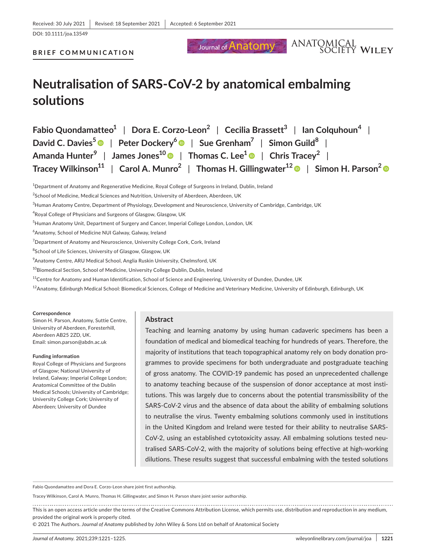Journal of **Anatomy** 

DOI: 10.1111/joa.13549

#### **BRIEF COMMUNICATION**

# **Neutralisation of SARS-CoV-2 by anatomical embalming solutions**

| Fabio Quondamatteo <sup>1</sup>   Dora E. Corzo-Leon <sup>2</sup>   Cecilia Brassett <sup>3</sup>   Ian Colquhoun <sup>4</sup>                         |
|--------------------------------------------------------------------------------------------------------------------------------------------------------|
| David C. Davies <sup>5</sup> $\bullet$   Peter Dockery <sup>6</sup> $\bullet$   Sue Grenham <sup>7</sup>   Simon Guild <sup>8</sup>                    |
| Amanda Hunter <sup>9</sup>   James Jones <sup>10</sup>   Thomas C. Lee <sup>1</sup>   Chris Tracey <sup>2</sup>                                        |
| Tracey Wilkinson <sup>11</sup>   Carol A. Munro <sup>2</sup>   Thomas H. Gillingwater <sup>12</sup> $\bullet$   Simon H. Parson <sup>2</sup> $\bullet$ |

1 Department of Anatomy and Regenerative Medicine, Royal College of Surgeons in Ireland, Dublin, Ireland

- <sup>8</sup>School of Life Sciences, University of Glasgow, Glasgow, UK
- 9 Anatomy Centre, ARU Medical School, Anglia Ruskin University, Chelmsford, UK
- <sup>10</sup>Biomedical Section, School of Medicine, University College Dublin, Dublin, Ireland
- $11$ Centre for Anatomy and Human Identification, School of Science and Engineering, University of Dundee, Dundee, UK
- <sup>12</sup>Anatomy, Edinburgh Medical School: Biomedical Sciences, College of Medicine and Veterinary Medicine, University of Edinburgh, Edinburgh, UK

#### **Correspondence**

Simon H. Parson, Anatomy, Suttie Centre, University of Aberdeen, Foresterhill, Aberdeen AB25 2ZD, UK. Email: [simon.parson@abdn.ac.uk](mailto:simon.parson@abdn.ac.uk)

#### **Funding information**

Royal College of Physicians and Surgeons of Glasgow; National University of Ireland, Galway; Imperial College London; Anatomical Committee of the Dublin Medical Schools; University of Cambridge; University College Cork; University of Aberdeen; University of Dundee

#### **Abstract**

Teaching and learning anatomy by using human cadaveric specimens has been a foundation of medical and biomedical teaching for hundreds of years. Therefore, the majority of institutions that teach topographical anatomy rely on body donation programmes to provide specimens for both undergraduate and postgraduate teaching of gross anatomy. The COVID-19 pandemic has posed an unprecedented challenge to anatomy teaching because of the suspension of donor acceptance at most institutions. This was largely due to concerns about the potential transmissibility of the SARS-CoV-2 virus and the absence of data about the ability of embalming solutions to neutralise the virus. Twenty embalming solutions commonly used in institutions in the United Kingdom and Ireland were tested for their ability to neutralise SARS-CoV-2, using an established cytotoxicity assay. All embalming solutions tested neutralised SARS-CoV-2, with the majority of solutions being effective at high-working dilutions. These results suggest that successful embalming with the tested solutions

Fabio Quondamatteo and Dora E. Corzo-Leon share joint first authorship.

Tracey Wilkinson, Carol A. Munro, Thomas H. Gillingwater, and Simon H. Parson share joint senior authorship.

This is an open access article under the terms of the [Creative Commons Attribution](http://creativecommons.org/licenses/by/4.0/) License, which permits use, distribution and reproduction in any medium, provided the original work is properly cited.

© 2021 The Authors. *Journal of Anatomy* published by John Wiley & Sons Ltd on behalf of Anatomical Society

ANATOMICAL<br>SOCIETY WILEY

 $^{2}$ School of Medicine, Medical Sciences and Nutrition, University of Aberdeen, Aberdeen, UK

<sup>3</sup> Human Anatomy Centre, Department of Physiology, Development and Neuroscience, University of Cambridge, Cambridge, UK

 $^4$ Royal College of Physicians and Surgeons of Glasgow, Glasgow, UK

 $^5$ Human Anatomy Unit, Department of Surgery and Cancer, Imperial College London, London, UK

<sup>6</sup> Anatomy, School of Medicine NUI Galway, Galway, Ireland

 $^7$ Department of Anatomy and Neuroscience, University College Cork, Cork, Ireland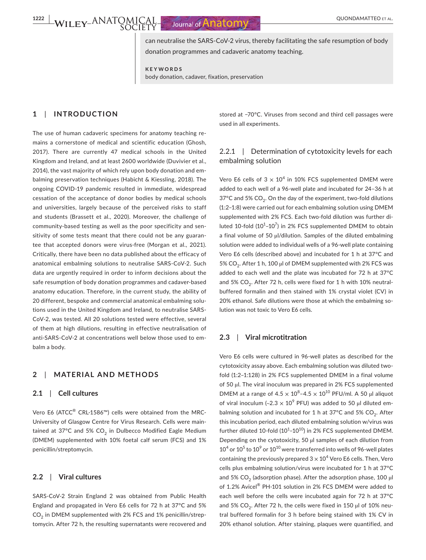**1222 POINT CONTRAL 1223 BOULD AND REPORT OF ALL CONDAMATTEO ET AL.** 

can neutralise the SARS-CoV-2 virus, thereby facilitating the safe resumption of body donation programmes and cadaveric anatomy teaching.

**KEYWORDS** body donation, cadaver, fixation, preservation

## **1**  | **INTRODUCTION**

The use of human cadaveric specimens for anatomy teaching remains a cornerstone of medical and scientific education (Ghosh, 2017). There are currently 47 medical schools in the United Kingdom and Ireland, and at least 2600 worldwide (Duvivier et al., 2014), the vast majority of which rely upon body donation and embalming preservation techniques (Habicht & Kiessling, 2018). The ongoing COVID-19 pandemic resulted in immediate, widespread cessation of the acceptance of donor bodies by medical schools and universities, largely because of the perceived risks to staff and students (Brassett et al., 2020). Moreover, the challenge of community-based testing as well as the poor specificity and sensitivity of some tests meant that there could not be any guarantee that accepted donors were virus-free (Morgan et al., 2021). Critically, there have been no data published about the efficacy of anatomical embalming solutions to neutralise SARS-CoV-2. Such data are urgently required in order to inform decisions about the safe resumption of body donation programmes and cadaver-based anatomy education. Therefore, in the current study, the ability of 20 different, bespoke and commercial anatomical embalming solutions used in the United Kingdom and Ireland, to neutralise SARS-CoV-2, was tested. All 20 solutions tested were effective, several of them at high dilutions, resulting in effective neutralisation of anti-SARS-CoV-2 at concentrations well below those used to embalm a body.

## **2**  | **MATERIAL AND METHODS**

#### **2.1**  | **Cell cultures**

Vero E6 (ATCC<sup>®</sup> CRL-1586™) cells were obtained from the MRC-University of Glasgow Centre for Virus Research. Cells were maintained at 37°C and 5%  $CO<sub>2</sub>$  in Dulbecco Modified Eagle Medium (DMEM) supplemented with 10% foetal calf serum (FCS) and 1% penicillin/streptomycin.

### **2.2**  | **Viral cultures**

SARS-CoV-2 Strain England 2 was obtained from Public Health England and propagated in Vero E6 cells for 72 h at 37°C and 5%  $CO<sub>2</sub>$  in DMEM supplemented with 2% FCS and 1% penicillin/streptomycin. After 72 h, the resulting supernatants were recovered and stored at −70°C. Viruses from second and third cell passages were used in all experiments.

## 2.2.1 | Determination of cytotoxicity levels for each embalming solution

Vero E6 cells of  $3 \times 10^4$  in 10% FCS supplemented DMEM were added to each well of a 96-well plate and incubated for 24–36 h at 37 $^{\circ}$ C and 5% CO<sub>2</sub>. On the day of the experiment, two-fold dilutions (1:2–1:8) were carried out for each embalming solution using DMEM supplemented with 2% FCS. Each two-fold dilution was further diluted 10-fold  $(10^1 - 10^7)$  in 2% FCS supplemented DMEM to obtain a final volume of 50 µl/dilution. Samples of the diluted embalming solution were added to individual wells of a 96-well plate containing Vero E6 cells (described above) and incubated for 1 h at 37°C and 5% CO<sub>2</sub>. After 1 h, 100 µl of DMEM supplemented with 2% FCS was added to each well and the plate was incubated for 72 h at 37°C and 5% CO<sub>2</sub>. After 72 h, cells were fixed for 1 h with 10% neutralbuffered formalin and then stained with 1% crystal violet (CV) in 20% ethanol. Safe dilutions were those at which the embalming solution was not toxic to Vero E6 cells.

#### **2.3**  | **Viral microtitration**

Vero E6 cells were cultured in 96-well plates as described for the cytotoxicity assay above. Each embalming solution was diluted twofold (1:2–1:128) in 2% FCS supplemented DMEM in a final volume of 50 µl. The viral inoculum was prepared in 2% FCS supplemented DMEM at a range of  $4.5 \times 10^8$ –4.5  $\times 10^{10}$  PFU/ml. A 50 µl aliquot of viral inoculum (~2.3  $\times$  10<sup>9</sup> PFU) was added to 50 µl diluted embalming solution and incubated for 1 h at 37 $^{\circ}$ C and 5% CO<sub>2</sub>. After this incubation period, each diluted embalming solution w/virus was further diluted 10-fold (10<sup>1</sup>-10<sup>10</sup>) in 2% FCS supplemented DMEM. Depending on the cytotoxicity, 50 µl samples of each dilution from  $10^4$  or  $10^5$  to  $10^9$  or  $10^{10}$  were transferred into wells of 96-well plates containing the previously prepared  $3 \times 10^4$  Vero E6 cells. Then, Vero cells plus embalming solution/virus were incubated for 1 h at 37°C and 5%  $CO<sub>2</sub>$  (adsorption phase). After the adsorption phase, 100 µl of 1.2% Avicel® PH-101 solution in 2% FCS DMEM were added to each well before the cells were incubated again for 72 h at 37°C and 5% CO<sub>2</sub>. After 72 h, the cells were fixed in 150  $\mu$ l of 10% neutral buffered formalin for 3 h before being stained with 1% CV in 20% ethanol solution. After staining, plaques were quantified, and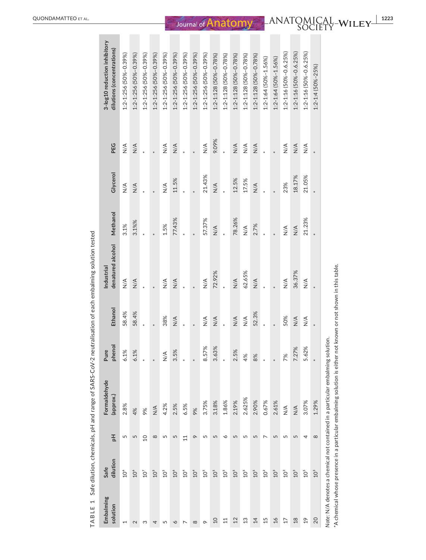|                         |                  |                |                                  |                      |               | 0                               |               |                  |               |                                                            |
|-------------------------|------------------|----------------|----------------------------------|----------------------|---------------|---------------------------------|---------------|------------------|---------------|------------------------------------------------------------|
| Embalming<br>solution   | dilution<br>Safe | 玉              | Formaldehyde<br>(approx.)        | phenol<br>Pure       | Ethanol       | denatured alcohol<br>Industrial | Methanol      | Glycerol         | PEG           | 3-log10 reduction inhibitory<br>dilutions (concentrations) |
|                         | $106$            | 5              | 2.8%                             | 6.1%                 | 58.4%         | $\frac{4}{5}$                   | 3.1%          | $\sum_{i=1}^{n}$ | $\frac{4}{2}$ | 1:2-1:256 (50%-0.39%)                                      |
|                         | $10^{\circ}$     | 5              | 4%                               | 6.1%                 | 58.4%         | $\frac{4}{2}$                   | 3.1%%         | $\frac{4}{2}$    | $\frac{4}{2}$ | 1:2-1:256 (50%-0.39%)                                      |
|                         | $10^7$           | $\overline{a}$ | 9%                               | $\ast$               |               |                                 |               |                  |               | 1:2-1:256 (50%-0.39%)                                      |
|                         | $105$            | $\infty$       | $\frac{4}{2}$                    | $\ast$               |               |                                 |               |                  |               | 1:2-1:256 (50%-0.39%)                                      |
|                         | 10 <sup>5</sup>  | 5              | 4.2%                             | $\frac{4}{\sqrt{2}}$ | 38%           | $\frac{4}{2}$                   | 1.5%          | $\frac{4}{5}$    | $\frac{4}{2}$ | 1:2-1:256 (50%-0.39%)                                      |
|                         | $106$            | 5              | 2.5%                             | 3.5%                 | $\frac{4}{2}$ | $\frac{4}{2}$                   | 77.43%        | 11.5%            | $\frac{4}{2}$ | 1:2-1:256 (50%-0.39%)                                      |
|                         | 10 <sup>4</sup>  | $\Xi$          | 6.5%                             | $\ast$               |               |                                 |               | $\ast$           |               | 1:2-1:256 (50%-0.39%)                                      |
|                         | $104$            | $\sigma$       | 9%                               | $\ast$               |               |                                 |               |                  |               | 1:2-1:256 (50%-0.39%)                                      |
|                         | 10 <sup>5</sup>  | 5              | 3.75%                            | 8.57%                | $\frac{4}{2}$ | $\frac{4}{5}$                   | 57.37%        | 21.43%           | $\leq$        | 1:2-1:256 (50%-0.39%)                                      |
| Q                       | $105$            | 5              | 3.18%                            | 3.63%                | $\frac{4}{2}$ | 72.92%                          | $\frac{4}{5}$ | $\frac{4}{5}$    | 9.09%         | 1:2-1:128 (50%-0.78%)                                      |
|                         | 10 <sup>5</sup>  |                | 1.86%                            | $*$                  |               |                                 |               |                  |               | 1:2-1:128 (50%-0.78%)                                      |
| Ņ                       | $10^5$           | 5              | 2.19%                            | 2.5%                 | $\frac{4}{2}$ | $\frac{4}{5}$                   | 78.26%        | 12.5%            | $\leq$        | 1:2-1:128 (50%-0.78%)                                      |
| ო                       | 10 <sup>5</sup>  | 5              | 2.625%                           | 4%                   | $\frac{4}{2}$ | 62.65%                          | $\frac{4}{5}$ | 17.5%            | $\leq$        | 1:2-1:128 (50%-0.78%)                                      |
| 그                       | $10^5$           | 5              | 2.90%                            | 8%                   | 52.3%         | $\frac{4}{2}$                   | 2.7%          | $\frac{4}{2}$    | $\leq$        | 1:2-1:128 (50%-0.78%)                                      |
| بہ                      | $10^2$           |                | 0.67%                            | ×                    |               |                                 |               |                  |               | 1:2-1:64 (50%-1.56%)                                       |
| $\overset{\circ}{\sim}$ | $10^3$           | 5              | 2.61%                            | $\ast$               |               |                                 |               |                  |               | 1:2-1:64 (50%-1.56%)                                       |
|                         | $10^3$           |                | $\stackrel{\triangleleft}{\geq}$ | 7%                   | 50%           | $\frac{4}{2}$                   | $\frac{4}{2}$ | 23%              | $\leq$        | 1:2-1:16 (50%-0.6.25%)                                     |
| $\frac{\infty}{\infty}$ | 10 <sup>3</sup>  | 5              | $\frac{4}{2}$                    | 7.27%                | $\frac{4}{2}$ | 36.37%                          | $\frac{4}{2}$ | 18.17%           | $\frac{4}{2}$ | 1:2-1:16 (50%-0.6.25%)                                     |
| $\frac{9}{1}$           | 10 <sup>5</sup>  | 4              | 3.07%                            | 5.62%                | $\leq$        | $\frac{4}{2}$                   | 21.23%        | 21.05%           | $\leq$        | 1:2-1:16 (50%-0.6.25%)                                     |
| $_{20}$                 | 10 <sup>3</sup>  |                | 1.29%                            |                      |               |                                 |               |                  |               | $1:2 - 1:4$ (50%-25%)                                      |
|                         |                  |                |                                  |                      |               |                                 |               |                  |               |                                                            |

TABLE 1 Safe dilution, chemicals, pH and range of SARS-CoV-2 neutralisation of each embalming solution tested **TABLE 1** Safe dilution, chemicals, pH and range of SARS-CoV-2 neutralisation of each embalming solution tested

Note: N/A denotes a chemical not contained in a particular embalming solution. *Note:* N/A denotes a chemical not contained in a particular embalming solution.

"A chemical whose presence in a particular embalming solution is either not known or not shown in this table. \*A chemical whose presence in a particular embalming solution is either not known or not shown in this table.

 $\overline{a}$ 

 $\overline{\phantom{a}}$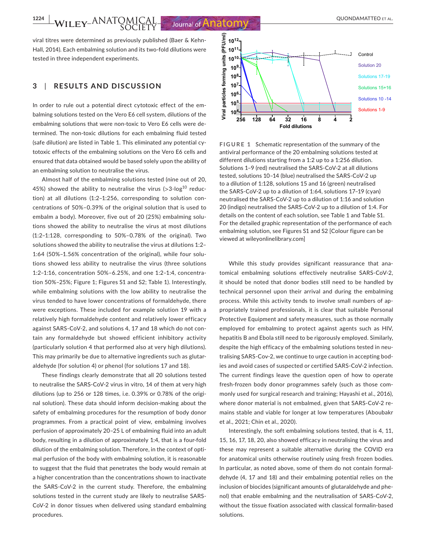**1224 WILEY-ANATOMICAL** Journal of **Anatomy** CONDITIBUTED ET AL.

viral titres were determined as previously published (Baer & Kehn-Hall, 2014). Each embalming solution and its two-fold dilutions were tested in three independent experiments.

### **3**  | **RESULTS AND DISCUSSION**

In order to rule out a potential direct cytotoxic effect of the embalming solutions tested on the Vero E6 cell system, dilutions of the embalming solutions that were non-toxic to Vero E6 cells were determined. The non-toxic dilutions for each embalming fluid tested (safe dilution) are listed in Table 1. This eliminated any potential cytotoxic effects of the embalming solutions on the Vero E6 cells and ensured that data obtained would be based solely upon the ability of an embalming solution to neutralise the virus.

Almost half of the embalming solutions tested (nine out of 20, 45%) showed the ability to neutralise the virus  $($ >3-log<sup>10</sup> reduction) at all dilutions (1:2–1:256, corresponding to solution concentrations of 50%–0.39% of the original solution that is used to embalm a body). Moreover, five out of 20 (25%) embalming solutions showed the ability to neutralise the virus at most dilutions (1:2–1:128, corresponding to 50%–0.78% of the original). Two solutions showed the ability to neutralise the virus at dilutions 1:2– 1:64 (50%–1.56% concentration of the original), while four solutions showed less ability to neutralise the virus (three solutions 1:2–1:16, concentration 50%–6.25%, and one 1:2–1:4, concentration 50%–25%; Figure 1; Figures S1 and S2; Table 1). Interestingly, while embalming solutions with the low ability to neutralise the virus tended to have lower concentrations of formaldehyde, there were exceptions. These included for example solution 19 with a relatively high formaldehyde content and relatively lower efficacy against SARS-CoV-2, and solutions 4, 17 and 18 which do not contain any formaldehyde but showed efficient inhibitory activity (particularly solution 4 that performed also at very high dilutions). This may primarily be due to alternative ingredients such as glutaraldehyde (for solution 4) or phenol (for solutions 17 and 18).

These findings clearly demonstrate that all 20 solutions tested to neutralise the SARS-CoV-2 virus in vitro, 14 of them at very high dilutions (up to 256 or 128 times, i.e. 0.39% or 0.78% of the original solution). These data should inform decision-making about the safety of embalming procedures for the resumption of body donor programmes. From a practical point of view, embalming involves perfusion of approximately 20–25 L of embalming fluid into an adult body, resulting in a dilution of approximately 1:4, that is a four-fold dilution of the embalming solution. Therefore, in the context of optimal perfusion of the body with embalming solution, it is reasonable to suggest that the fluid that penetrates the body would remain at a higher concentration than the concentrations shown to inactivate the SARS-CoV-2 in the current study. Therefore, the embalming solutions tested in the current study are likely to neutralise SARS-CoV-2 in donor tissues when delivered using standard embalming procedures.



**FIGURE 1** Schematic representation of the summary of the antiviral performance of the 20 embalming solutions tested at different dilutions starting from a 1:2 up to a 1:256 dilution. Solutions 1–9 (red) neutralised the SARS-CoV-2 at all dilutions tested, solutions 10–14 (blue) neutralised the SARS-CoV-2 up to a dilution of 1:128, solutions 15 and 16 (green) neutralised the SARS-CoV-2 up to a dilution of 1:64, solutions 17–19 (cyan) neutralised the SARS-CoV-2 up to a dilution of 1:16 and solution 20 (indigo) neutralised the SARS-CoV-2 up to a dilution of 1:4. For details on the content of each solution, see Table 1 and Table S1. For the detailed graphic representation of the performance of each embalming solution, see Figures S1 and S2 [Colour figure can be viewed at [wileyonlinelibrary.com](https://onlinelibrary.wiley.com/)]

While this study provides significant reassurance that anatomical embalming solutions effectively neutralise SARS-CoV-2, it should be noted that donor bodies still need to be handled by technical personnel upon their arrival and during the embalming process. While this activity tends to involve small numbers of appropriately trained professionals, it is clear that suitable Personal Protective Equipment and safety measures, such as those normally employed for embalming to protect against agents such as HIV, hepatitis B and Ebola still need to be rigorously employed. Similarly, despite the high efficacy of the embalming solutions tested in neutralising SARS-Cov-2, we continue to urge caution in accepting bodies and avoid cases of suspected or certified SARS-CoV-2 infection. The current findings leave the question open of how to operate fresh-frozen body donor programmes safely (such as those commonly used for surgical research and training; Hayashi et al., 2016), where donor material is not embalmed, given that SARS-CoV-2 remains stable and viable for longer at low temperatures (Aboubakr et al., 2021; Chin et al., 2020).

Interestingly, the soft embalming solutions tested, that is 4, 11, 15, 16, 17, 18, 20, also showed efficacy in neutralising the virus and these may represent a suitable alternative during the COVID era for anatomical units otherwise routinely using fresh frozen bodies. In particular, as noted above, some of them do not contain formaldehyde (4, 17 and 18) and their embalming potential relies on the inclusion of biocides (significant amounts of glutaraldehyde and phenol) that enable embalming and the neutralisation of SARS-CoV-2, without the tissue fixation associated with classical formalin-based solutions.